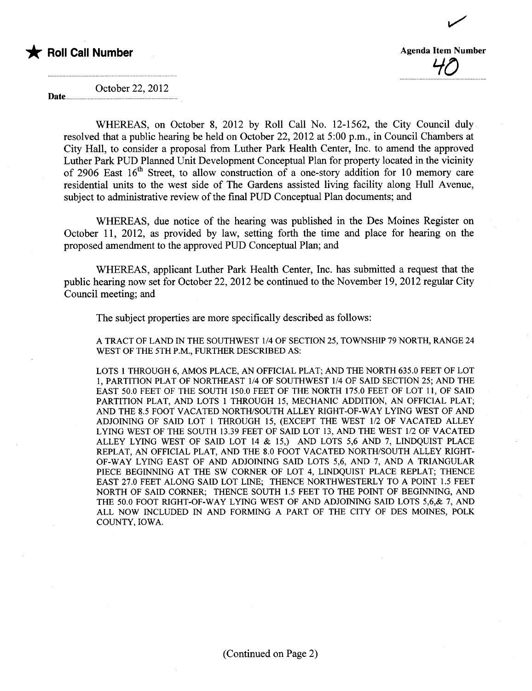

Date...

40

~

October 22,2012

WHEREAS, on October 8, 2012 by Roll Call No. 12-1562, the City Council duly resolved that a public hearing be held on October 22,2012 at 5:00 p.m., in Council Chambers at City Hall, to consider a proposal from Luther Park Health Center, Inc. to amend the approved Luther Park PUD Planed Unit Development Conceptual Plan for property located in the vicinity of 2906 East  $16<sup>th</sup>$  Street, to allow construction of a one-story addition for 10 memory care residential unts to the west side of The Gardens assisted living facility along Hull Avenue, subject to administrative review of the final PUD Conceptual Plan documents; and

WHEREAS, due notice of the hearing was published in the Des Moines Register on October 11, 2012, as provided by law, setting forth the time and place for hearng on the proposed amendment to the approved PUD Conceptual Plan; and

WHEREAS, applicant Luther Park Health Center, Inc. has submitted a request that the public hearing now set for October 22, 2012 be continued to the November 19, 2012 regular City Council meeting; and

The subject properties are more specifically described as follows:

A TRACT OF LAND IN THE SOUTHWEST 1/4 OF SECTION 25, TOWNSHIP 79 NORTH, RANGE 24 WEST OF THE 5TH P.M., FURTHER DESCRIBED AS:

LOTS 1 THROUGH 6, AMOS PLACE, AN OFFICIAL PLAT; AND THE NORTH 635.0 FEET OF LOT 1, PARTITION PLAT OF NORTHEAST 1/4 OF SOUTHWEST 1/4 OF SAID SECTION 25; AND THE EAST 50.0 FEET OF THE SOUTH 150.0 FEET OF THE NORTH 175.0 FEET OF LOT 11, OF SAID PARTITION PLAT, AND LOTS 1 THROUGH 15, MECHANIC ADDITION, AN OFFICIAL PLAT; AND THE R.5 FOOt VACATED NORTH/SOUTH ALLEY RIGHT-OF-WAY LYING WEST OF AND ADJOINING OF SAID LOT 1 THROUGH 15, (EXCEPT THE WEST 1/2 OF VACATED ALLEY LYING WEST OF THE SOUTH 13.39 FEET OF SAID LOT 13, AND THE WEST 1/2 OF VACATED ALLEY LYING WEST OF SAID LOT 14  $&$  15.) AND LOTS 5,6 AND 7, LINDQUIST PLACE REPLAT, AN OFFICIAL PLAT, AND THE 8.0 FOOT VACATED NORTH/SOUTH ALLEY RIGHT-OF-WAY LYING EAST OF AND ADJOINING SAID LOTS 5,6, AND 7, AND A TRIANGULAR PIECE BEGINNING AT THE SW CORNER OF LOT 4, LINDQUIST PLACE REPLAT; THENCE EAST 27.0 FEET ALONG SAID LOT LINE; THENCE NORTHWESTERLY TO A POINT 1.5 FEET NORTH OF SAID CORNER; THENCE SOUTH 1.5 FEET TO THE POINT OF BEGINNING, AND THE 50.0 FOOT RIGHT-OF-WAY LYING WEST OF AND ADJOINING SAID LOTS 5,6,& 7, AND ALL NOW INCLUDED IN AND FORMING A PART OF THE CITY OF DES MOINS, POLK COUNTY, IOWA.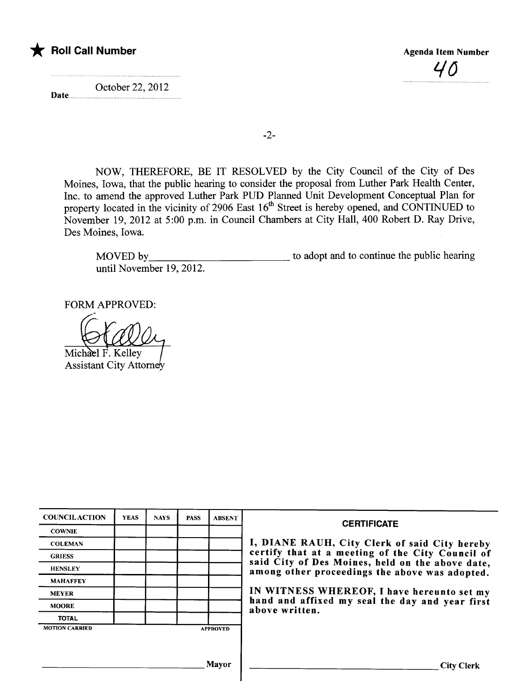

Date.. October 22,2012  $\nu$ 

-2-

NOW, THEREFORE, BE IT RESOLVED by the City Council of the City of Des Moines, Iowa, that the public hearing to consider the proposal from Luther Park Health Center, Inc. to amend the approved Luther Park PUD Planed Unit Development Conceptual Plan for property located in the vicinity of 2906 East 16<sup>th</sup> Street is hereby opened, and CONTINUED to November 19,2012 at 5:00 p.m. in Council Chambers at City Hall, 400 Robert D. Ray Drive, Des Moines, Iowa.

MOVED by until November 19, 2012. to adopt and to continue the public hearing

FORM APPROVED:

Michael F. Kelley **Assistant City Attorney** 

| <b>COUNCILACTION</b>  | <b>YEAS</b> | <b>NAYS</b> | <b>PASS</b> | <b>ABSENT</b>   | <b>CERTIFICATE</b>                                                                                 |
|-----------------------|-------------|-------------|-------------|-----------------|----------------------------------------------------------------------------------------------------|
| <b>COWNIE</b>         |             |             |             |                 |                                                                                                    |
| <b>COLEMAN</b>        |             |             |             |                 | I, DIANE RAUH, City Clerk of said City hereby                                                      |
| <b>GRIESS</b>         |             |             |             |                 | certify that at a meeting of the City Council of                                                   |
| <b>HENSLEY</b>        |             |             |             |                 | said City of Des Moines, held on the above date,<br>among other proceedings the above was adopted. |
| <b>MAHAFFEY</b>       |             |             |             |                 |                                                                                                    |
| <b>MEYER</b>          |             |             |             |                 | IN WITNESS WHEREOF, I have hereunto set my                                                         |
| <b>MOORE</b>          |             |             |             |                 | hand and affixed my seal the day and year first<br>above written.                                  |
| <b>TOTAL</b>          |             |             |             |                 |                                                                                                    |
| <b>MOTION CARRIED</b> |             |             |             | <b>APPROVED</b> |                                                                                                    |
|                       |             |             |             |                 |                                                                                                    |
|                       |             |             |             |                 |                                                                                                    |
|                       |             |             |             | <b>Mayor</b>    | <b>City Clerk</b>                                                                                  |

I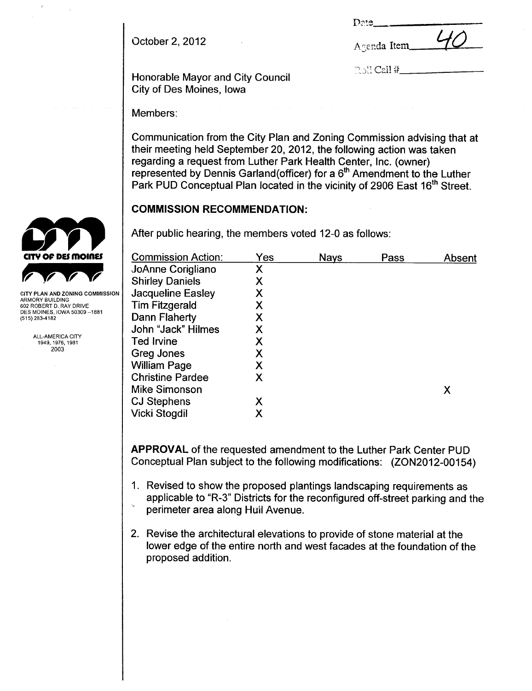October 2,2012 A "errda Item -,- '10

| Date |  |  |
|------|--|--|
|      |  |  |

 $\mathbb{R}\otimes\mathbb{I}$  Call #

Honorable Mayor and City Council City of Des Moines, Iowa

Members:

Communication from the City Plan and Zoning Commission advising that at their meeting held September 20, 2012, the following action was taken regarding a request from Luther Park Health Center, Inc. (owner) represented by Dennis Garland(officer) for a  $6<sup>th</sup>$  Amendment to the Luther Park PUD Conceptual Plan located in the vicinity of 2906 East 16<sup>th</sup> Street.

# COMMISSION RECOMMENDATION:

After public hearing, the members voted 12-0 as follows:

| <b>Commission Action:</b> | Yes | <b>Nays</b> | Pass | Absent |
|---------------------------|-----|-------------|------|--------|
| JoAnne Corigliano         | Χ   |             |      |        |
| <b>Shirley Daniels</b>    | X   |             |      |        |
| <b>Jacqueline Easley</b>  | Χ   |             |      |        |
| <b>Tim Fitzgerald</b>     | Χ   |             |      |        |
| Dann Flaherty             | Χ   |             |      |        |
| John "Jack" Hilmes        | Χ   |             |      |        |
| <b>Ted Irvine</b>         | Χ   |             |      |        |
| Greg Jones                | Χ   |             |      |        |
| <b>William Page</b>       | Χ   |             |      |        |
| <b>Christine Pardee</b>   | X   |             |      |        |
| <b>Mike Simonson</b>      |     |             |      | Χ      |
| <b>CJ Stephens</b>        | Χ   |             |      |        |
| Vicki Stogdil             | Χ   |             |      |        |
|                           |     |             |      |        |

APPROVAL of the requested amendment to the Luther Park Center PUD Conceptual Plan subject to the following modifications: (ZON2012-00154)

- 1. Revised to show the proposed plantings landscaping requirements as applicable to "R-3" Districts for the reconfigured off-street parking and the perimeter area along Hull Avenue.
- 2. Revise the architectural elevations to provide of stone material at the lower edge of the entire north and west facades at the foundation of the proposed addition.



CITY PLAN AND ZONING COMMISSION ARMORY BUILDING 602 ROBERT D. RAY DRIVE<br>DES MOINES, IOWA 50309 –1881 (515) 283-4182

> ALL-AMERICA CITY 1949,1976,1981 2003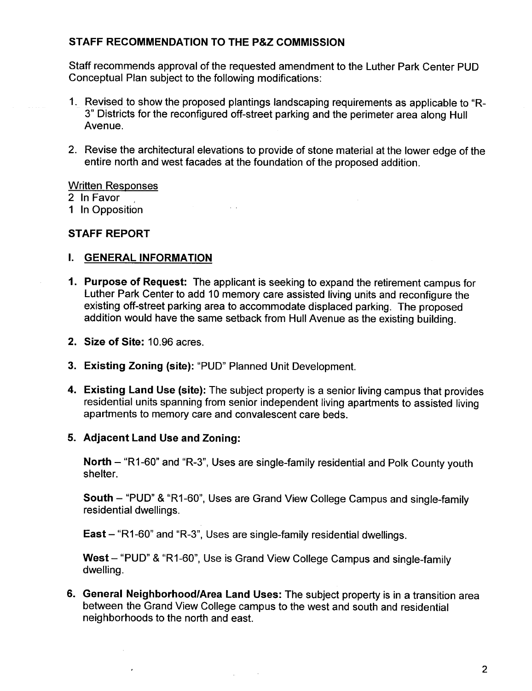# STAFF RECOMMENDATION TO THE P&Z COMMISSION

Staff recommends approval of the requested amendment to the Luther Park Center PUD Conceptual Plan subject to the following modifications:

- 1. Revised to show the proposed plantings landscaping requirements as applicable to "R-3" Districts for the reconfigured off-street parking and the perimeter area along Hull Avenue.
- 2. Revise the architectural elevations to provide of stone material at the lower edge of the entire north and west facades at the foundation of the proposed addition.

## Written Responses

2 In Favor

1 In Opposition

## STAFF REPORT

## i. GENERAL INFORMATION

- 1. Purpose of Request: The applicant is seeking to expand the retirement campus for Luther Park Center to add 10 memory care assisted living units and reconfigure the existing off-street parking area to accommodate displaced parking. The proposed addition would have the same setback from Hull Avenue as the existing building.
- 2. Size of Site: 10.96 acres.
- 3. Existing Zoning (site): "PUD" Planned Unit Development.
- 4. Existing Land Use (site): The subject property is a senior living campus that provides residential units spanning from senior independent living apartments to assisted living apartments to memory care and convalescent care beds.

## 5. Adjacent Land Use and Zoning:

North - "R1-60" and "R-3", Uses are single-family residential and Polk County youth shelter.

South - "PUD" & "R1-60", Uses are Grand View College Campus and single-family residential dwellings.

East - "R1-60" and "R-3", Uses are single-family residential dwellings.

West - "PUD" & "R1-60", Use is Grand View College Campus and single-family dwelling.

6. General Neighborhood/Area Land Uses: The subject property is in a transition area between the Grand View College campus to the west and south and residential neighborhoods to the north and east.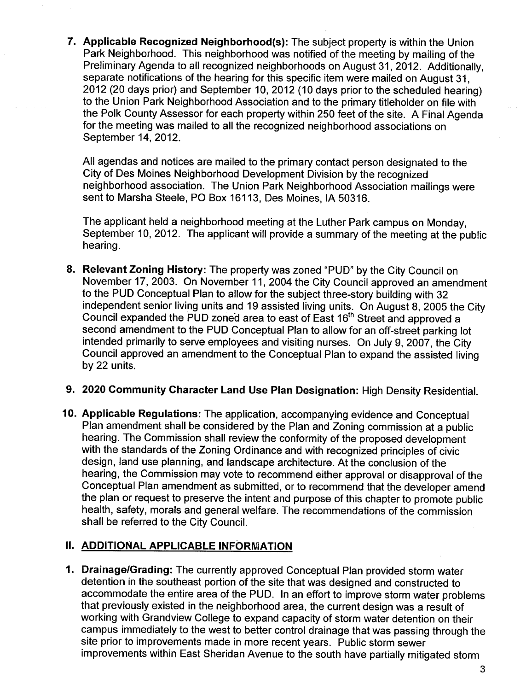7. Applicable Recognized Neighborhood(s): The subject property is within the Union Park Neighborhood. This neighborhood was notified of the meeting by mailing of the Preliminary Agenda to all recognized neighborhoods on August 31, 2012. Additionally, separate notifications of the hearing for this specific item were mailed on August 31, 2012 (20 days prior) and September 10, 2012 (10 days prior to the scheduled hearing) to the Union Park Neighborhood Association and to the primary titleholder on file with the Polk County Assessor for each property within 250 feet of the site. A Final Agenda for the meeting was mailed to all the recognized neighborhood associations on September 14, 2012.

All agendas and notices are mailed to the primary contact person designated to the City of Des Moines Neighborhood Development Division by the recognized neighborhood association. The Union Park Neighborhood Association mailngs were sent to Marsha Steele, PO Box 16113, Des Moines, IA 50316.

The applicant held a neighborhood meeting at the Luther Park campus on Monday, September 10, 2012. The applicant will provide a summary of the meeting at the public hearing.

- 8. Relevant Zoning History: The property was zoned "PUD" by the City Council on November 17, 2003. On November 11, 2004 the City Council approved an amendment to the PUD Conceptual Plan to allow for the subject three-story building with 32 independent senior living units and 19 assisted living units. On August 8, 2005 the City Council expanded the PUD zoned area to east of East 16<sup>th</sup> Street and approved a second amendment to the PUD Conceptual Plan to allow for an off-street parking lot intended primarily to serve employees and visiting nurses. On July 9,2007, the City Council approved an amendment to the Conceptual Plan to expand the assisted living by 22 units.
- 9. 2020 Community Character Land Use Plan Designation: High Density Residential.
- 10. Applicable Regulations: The application, accompanying evidence and Conceptual Plan amendment shall be considered by the Plan and Zoning commission at a public hearing. The Commission shall review the conformity of the proposed development with the standards of the Zoning Ordinance and with recognized principles of civic design, land use planning, and landscape architecture. At the conclusion of the hearing, the Commission may vote to recommend either approval or disapproval of the Conceptual Plan amendment as submitted, or to recommend that the developer amend the plan or request to preserve the intent and purpose of this chapter to promote public health, safety, morals and general welfare. The recommendations of the commission shall be referred to the City Council.

# II. ADDITIONAL APPLICABLE INFORMATION

1. Drainage/Grading: The currently approved Conceptual Plan provided storm water detention in the southeast portion of the site that was designed and constructed to accommodate the entire area of the PUD. In an effort to improve storm water problems that previously existed in the neighborhood area, the current design was a result of working with Grandview College to expand capacity of storm water detention on their campus immediately to the west to better control drainage that was passing through the site prior to improvements made in more recent years. Public storm sewer improvements within East Sheridan Avenue to the south have partially mitigated storm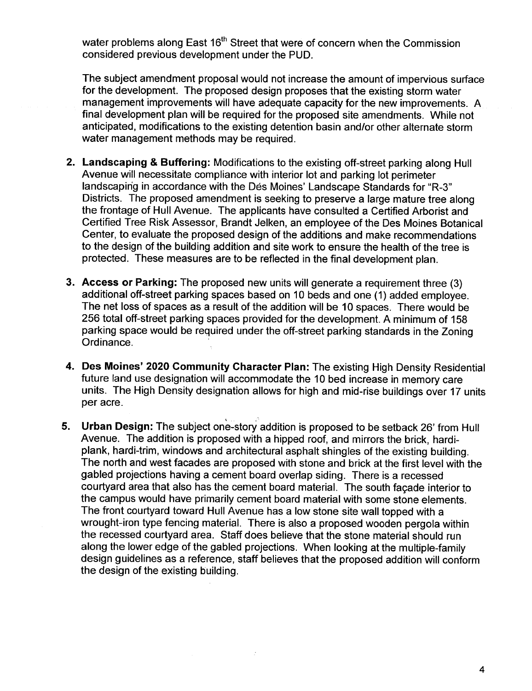water problems along East 16<sup>th</sup> Street that were of concern when the Commission considered previous development under the PUD.

The subject amendment proposal would not increase the amount of impervious surface for the development. The proposed design proposes that the existing storm water management improvements will have adequate capacity for the new improvements. A final development plan wil be required for the proposed site amendments. While not anticipated, modifications to the existing detention basin and/or other alternate storm water management methods may be required.

- 2. Landscaping & Buffering: Modifications to the existing off-street parking along Hull Avenue will necessitate compliance with interior lot and parking lot perimeter landscaping in accordance with the Dés Moines' Landscape Standards for "R-3" Districts. The proposed amendment is seeking to preserve a large mature tree along the frontage of Hull Avenue. The applicants have consulted a Certified Arborist and Certified Tree Risk Assessor, Brandt Jelken, an employee of the Des Moines Botanical Center, to evaluate the proposed design of the additions and make recommendations to the design of the building addition and site work to ensure the health of the tree is protected. These measures are to be reflected in the final development plan.
- 3. Access or Parking: The proposed new units will generate a requirement three (3) additional off-street parking spaces based on 10 beds and one (1) added employee. The net loss of spaces as a result of the addition wil be 10 spaces. There would be 256 total off-street parking spaces provided for the development. A minimum of 158 parking space would be required under the off-street parking standards in the Zoning<br>Ordinance.
- 4. Des Moines' 2020 Community Character Plan: The existing High Density Residential future land use designation will accommodate the 10 bed increase in memory care units. The High Density designation allows for high and mid-rise buildings over 17 units per acre.

.. .0.

5. Urban Design: The subject one-story addition is proposed to be setback 26' from Hull Avenue. The addition is proposed with a hipped roof, and mirrors the brick, hardiplank, hardi-trim, windows and architectural asphalt shingles of the existing building. The north and west facades are proposed with stone and brick at the first level with the gabled projections having a cement board overlap siding. There is a recessed courtyard area that also has the cement board materiaL. The south façade interior to the campus would have primarily cement board material with some stone elements. The front courtyard toward Hull Avenue has a low stone site wall topped with a wrought-iron type fencing material. There is also a proposed wooden pergola within the recessed courtyard area. Staff does believe that the stone material should run along the lower edge of the gabled projections. When looking at the multiple-family design guidelines as a reference, staff believes that the proposed addition will conform the design of the existing building.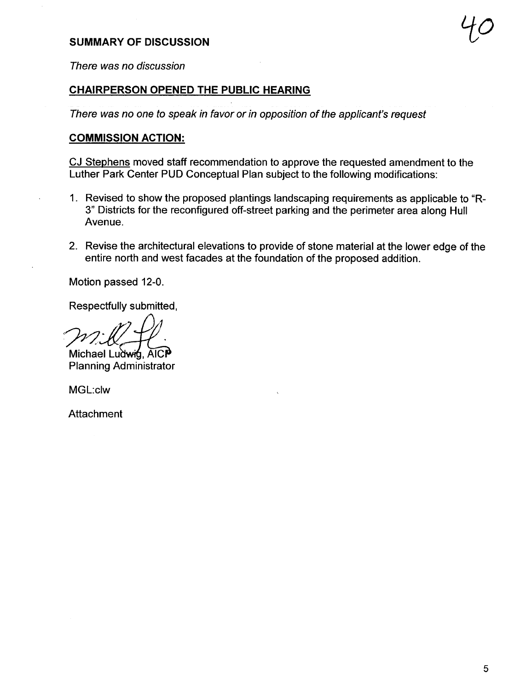# SUMMARY OF DISCUSSION  $\mathcal{H}$

There was no discussion

## CHAIRPERSON OPENED THE PUBLIC HEARING

There was no one to speak in favor or in opposition of the applicant's request

#### COMMISSION ACTION:

CJ Stephens moved staff recommendation to approve the requested amendment to the Luther Park Center PUD Conceptual Plan subject to the following modifications:

- 1. Revised to show the proposed plantings landscaping requirements as applicable to "R-3" Districts for the reconfigured off-street parking and the perimeter area along Hull Avenue.
- 2. Revise the architectural elevations to provide of stone material at the lower edge of the entire north and west facades at the foundation of the proposed addition.

Motion passed 12-0.

Respectfully submitted,

Michael Ludwin. AICP Planning Administrator

MGL:clw

Attachment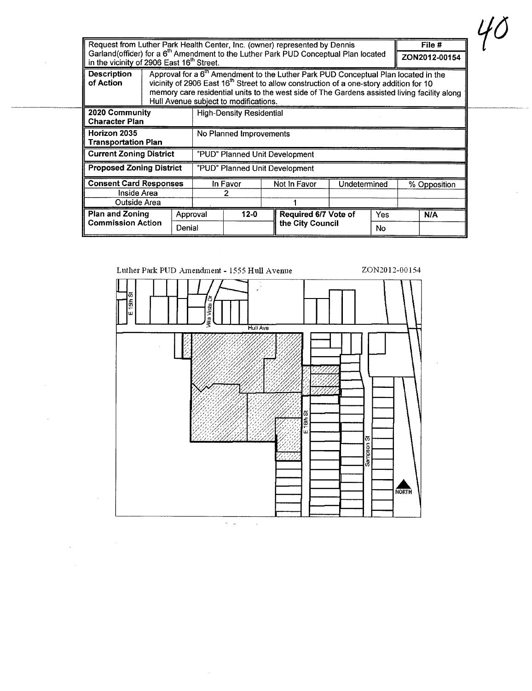| Request from Luther Park Health Center, Inc. (owner) represented by Dennis                                                                               |                                 |                                                                                                                                                                                                                                                                                                                                               |                                |          |  |                      | File #       |               |              |     |
|----------------------------------------------------------------------------------------------------------------------------------------------------------|---------------------------------|-----------------------------------------------------------------------------------------------------------------------------------------------------------------------------------------------------------------------------------------------------------------------------------------------------------------------------------------------|--------------------------------|----------|--|----------------------|--------------|---------------|--------------|-----|
| Garland(officer) for a 6 <sup>th</sup> Amendment to the Luther Park PUD Conceptual Plan located<br>in the vicinity of 2906 East 16 <sup>th</sup> Street. |                                 |                                                                                                                                                                                                                                                                                                                                               |                                |          |  |                      |              | ZON2012-00154 |              |     |
| <b>Description</b><br>of Action                                                                                                                          |                                 | Approval for a 6 <sup>th</sup> Amendment to the Luther Park PUD Conceptual Plan located in the<br>vicinity of 2906 East 16 <sup>th</sup> Street to allow construction of a one-story addition for 10<br>memory care residential units to the west side of The Gardens assisted living facility along<br>Hull Avenue subject to modifications. |                                |          |  |                      |              |               |              |     |
| 2020 Community<br><b>Character Plan</b>                                                                                                                  | <b>High-Density Residential</b> |                                                                                                                                                                                                                                                                                                                                               |                                |          |  |                      |              |               |              |     |
| Horizon 2035<br><b>Transportation Plan</b>                                                                                                               |                                 |                                                                                                                                                                                                                                                                                                                                               | No Planned Improvements        |          |  |                      |              |               |              |     |
| <b>Current Zoning District</b>                                                                                                                           |                                 |                                                                                                                                                                                                                                                                                                                                               | "PUD" Planned Unit Development |          |  |                      |              |               |              |     |
| <b>Proposed Zoning District</b>                                                                                                                          |                                 |                                                                                                                                                                                                                                                                                                                                               | "PUD" Planned Unit Development |          |  |                      |              |               |              |     |
| <b>Consent Card Responses</b>                                                                                                                            |                                 |                                                                                                                                                                                                                                                                                                                                               | In Favor                       |          |  | Not In Favor         | Undetermined |               | % Opposition |     |
| Inside Area                                                                                                                                              |                                 |                                                                                                                                                                                                                                                                                                                                               |                                |          |  |                      |              |               |              |     |
| Outside Area                                                                                                                                             |                                 |                                                                                                                                                                                                                                                                                                                                               |                                |          |  |                      |              |               |              |     |
| <b>Plan and Zoning</b>                                                                                                                                   |                                 |                                                                                                                                                                                                                                                                                                                                               | Approval                       | $12 - 0$ |  | Required 6/7 Vote of |              | Yes           |              | N/A |
| <b>Commission Action</b>                                                                                                                                 |                                 | Denial                                                                                                                                                                                                                                                                                                                                        |                                |          |  | the City Council     |              |               |              |     |

 $\sim$   $\sim$ 

 $\sim$ 



 $\sim$ 

 $\mathcal{H}$ 

 $\mathcal{L}^{\pm}$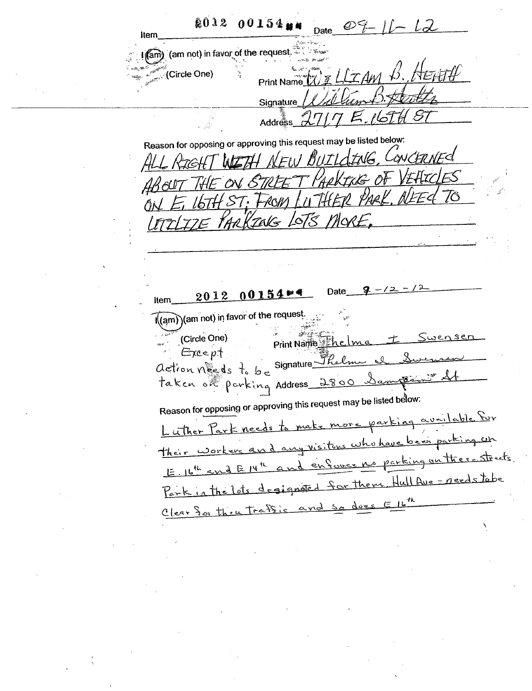**2012 00154 MM** Date  $\mathcal{O}$  lten (am not) in favor of the request. । (am **Circle One**) Print Name Signature Address Reason for opposing or approving this request may be listed below: FAIG CONCERNED WEH NEW BILTI. KIGHT is of VEATOLES STREE  $\mathcal{Y}_{\mathcal{A}\mathcal{D}}V$ FROM INTHER  $ST.$ MARKZAKS LOTS MORE.  $201200154...$ Date Item (am) (am not) in favor of the request. (Circle One)  $252$ Print Name Except action néeds to be Signature taken out parking Address 2800 Sampsoning Reason for opposing or approving this request may be listed below: to make more parking available for Luther Park needs <u>any visitors who have been parking un</u> <u>Their workers</u> an enforce no parking on there streets.  $E_{11}b^{th}$  and  $E14$ degigned for them Hull Ave - needs tobe Parkinthelds , th does and so Clear for thru traffic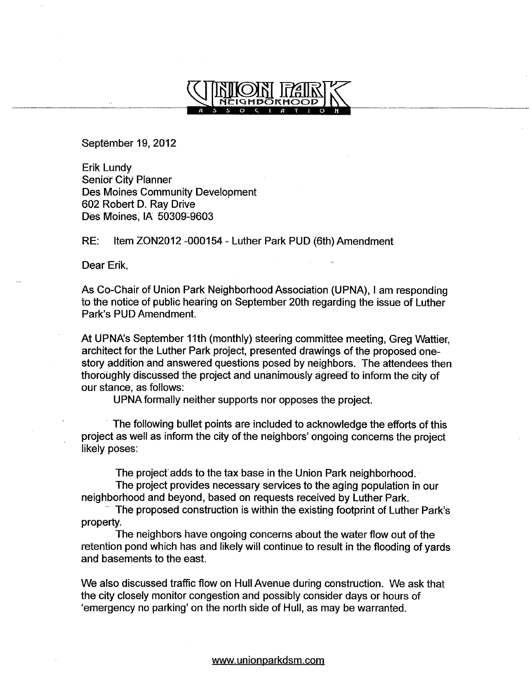

Sepfëmber 19, 2012

Erik Lundy Senior City Planner Des Moines Community Development 602 Robert D. Ray Drive Des Moines; IA 50309-9603

RE: Item ZON2012 -000154 - Luther Park PUD (6th) Amendment

Dear Erik,

As Co-Chair of Union Park Neighborhood Association (UPNA), I am responding to the notice of public hearing on September 20th regarding the issue of Luther Park's PUD Amendment.

At UPNA's September 11th (monthly) steering committee meeting, Greg Wattier, architect for the Luther Park project, presented drawings of the proposed onestory addition and answered questions posed by neighbors. The attendees then thoroughly discussed the project and unanimously agreed to inform the city of our stance, as follows:

UPNA formally neither supports nor opposes the project.

. The following bullet points are included to acknowledge the efforts of this project as well as inform the city of the neighbors' ongoing concerns the project likely poses:

The project adds to the tax base in the Union Park neighborhood.

The project provides necessary services to the aging population in our neighborhood and beyond, based on requests received by Luther Park.

The proposed construction is within the existing footprint of Luther Park's property.

The neighbors have ongoing concerns about the water flow out of the retention pond which has and likely wil continue to result in the flooding of yards and basements to the east.

We also discussed traffic flow on Hull Avenue during construction. We ask that the city closely monitor congestion and possibly consider days or hours of 'emergency no parking' on the north side of Hull, as may be warranted.

ww.unionparkdsm.com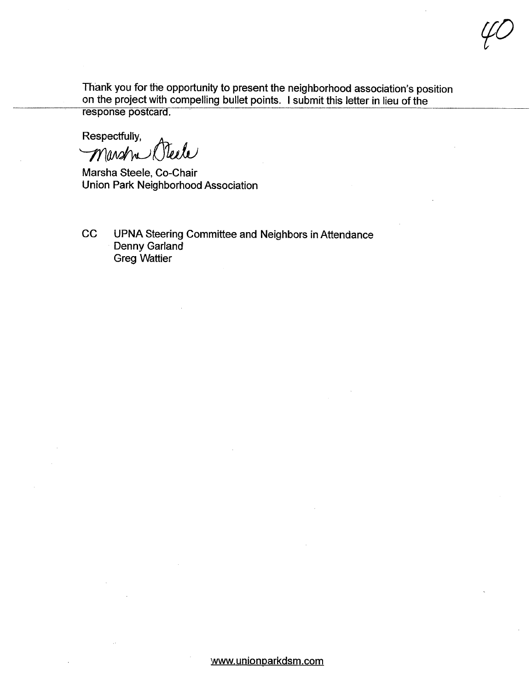Thank you for the opportunity to present the neighborhood association's position on the project with compellng bullet points. I submit this letter in lieu of the response postcard.

yC

Respectfully,<br>Marsh Neele

Marsha Steele, Co-Chair Union Park Neighborhood Association

CC UPNA Steering Committee and Neighbors in Attendance Denny Garland Greg Wattier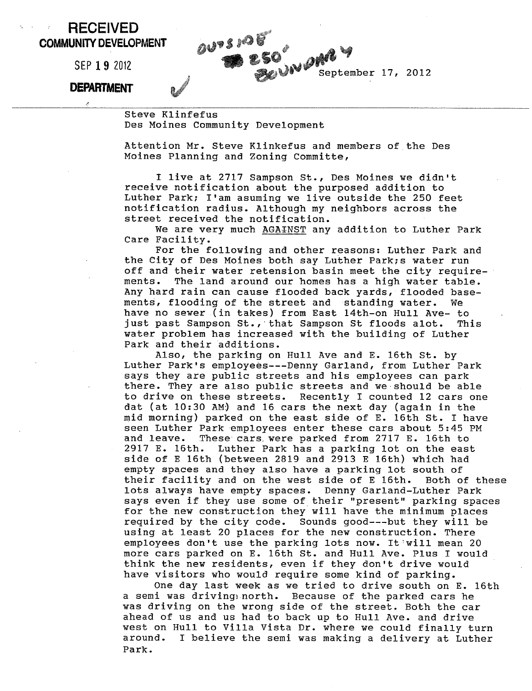## RECEIVED COMMUNITY DEVELOPMENT

SEP 1 9 2012

## **DEPARTMENT**

Steve Kl infefus Des Moines Community Development

Attention Mr. Steve Klinkefus and members of the Des Moines Planning and Zoning Committe,

I live at 2717 Sampson St., Des Moines we didn't<br>receive notification about the purposed addition to Luther Park; I'am asuming we live outside the 250 feet notification radius. Although my neighbors across the street received the notification.

We are very much AGAINST any addition to Luther Park Care Facility.

For the following and other reasons: Luther Park and the City of Des Moines both say Luther Park; s water run off and their water retension basin meet the city requirements. The land around our homes has a high water table. Any hard rain can cause flooded back yards, flooded basements, flooding of the street and standing water. We have no sewer (in takes) from East 14th-on Hull Ave- to just past Sampson St., that Sampson St floods alot. This water problem has increased with the building of Luther Park and their additions .

Also, the parking on Hull Ave and E. 16th St. by Luther Park's employees---Denny Garland, from Luther Park says they are public streets and his employees can park there. They are also public streets and we should be able to drive on these streets. Recently I counted 12 cars one dat (at 10:30 AM) and 16 cars the next day (again in the mid morning) parked on the east side of E. 16th St. I have seen Luther Park employees enter these cars about 5:45 PM and leave. These cars. were parked from 2717 E. 16th to 2917 E. 16th. Luther Park has a parking lot on the east side of E 16th (between 2819 and 2913 E 16th) which had empty spaces and they also have a parking lot south of their facility and on the west side of E 16th. Both of these lots always have empty spaces. Denny Garland-Luther Park says even if they use some of their "present" parking spaces for the new construction they will have the minimum places required by the city code. Sounds good---but they wiii be using at least 20 places for the new construction. There employees don't use the parking lots now. It will mean 20 more cars parked on E. 16th St. and Hull Ave. Plus I would think the new residents, even if they don't drive would have visitors who would require some kind of parking.

One day last week as we tried to drive south on E. 16th a semi was driving) north. Because of the parked cars he was driving on the wrong side of the street. Both the car ahead of us and us had to back up to Hull Ave. and drive west on Hull to Villa Vista Dr. where we could finally turn around. I believe the semi was making a delivery at Luther Park.

OUTSION OF September 17, 2012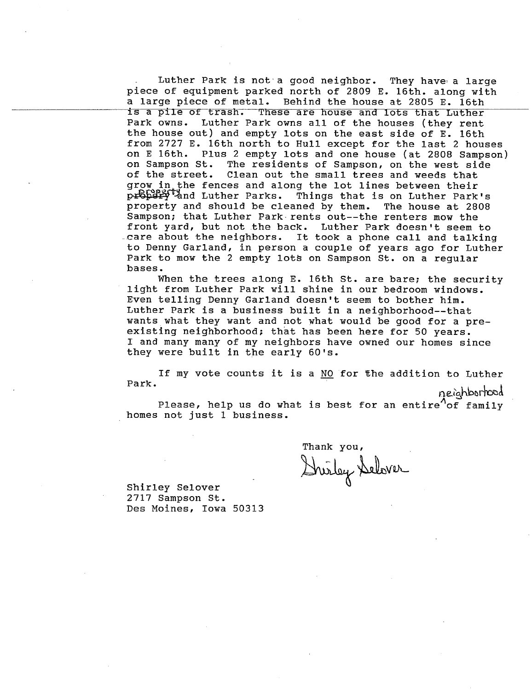Luther Park is not a good neighbor. They have a large piece of equipment parked north of 2809 E. 16th. along with a large piece of metal. Behind the house at 2805 E. 16th is a pile of trash. These are house and lots that Luther<br>Park owns. Luther Park owns all of the houses (they rent Luther Park owns all of the houses (they rent the house out) and empty lots on the east side of E. 16th from 2727 E. 16th north to Hull except for the last 2 houses on E 16th. Plus 2 empty lots and one house (at 2808 Sampson) on Sampson St. The residents of Sampson, on the west side on Sampson St. The residents of Sampson, on the west side<br>of the street. Clean out the small trees and weeds that Clean out the small trees and weeds that grow in the fences and along the lot lines between their<br>propert and Luther Parks. Things that is on Luther Park Things that is on Luther Park's property and should be cleaned by them. The house at 2808 Sampson; that Luther Park. rents out--the renters mow the front yard, but not the back. Luther Park doesn't seem to .care about the neighbors. It took a phone call and talking to Denny Garland, in person a couple of years ago for Luther Park to mow the 2 empty lots on Sampson St. on a regular bases.

When the trees along E. 16th St. are bare; the security light from Luther Park will shine in our bedroom windows. Even telling Denny Garland doesn't seem to bother him. Luther Park is a business built in a neighborhood--that wants what they want and not what would be good for a preexisting neighborhood; that has been here for 50 years. I and many many of my neighbors have owned our homes since they were built in the early 60's.

If my vote counts it is a NO for the addition to Luther Park.

neighborhood

Please, help us do what is best for an entire<sup> $\Omega$ </sup> family homes not just 1 business.

Thank you,<br>Durley Delover

Shirley Selover 2717 Sampson St. Des Moines, Iowa 50313